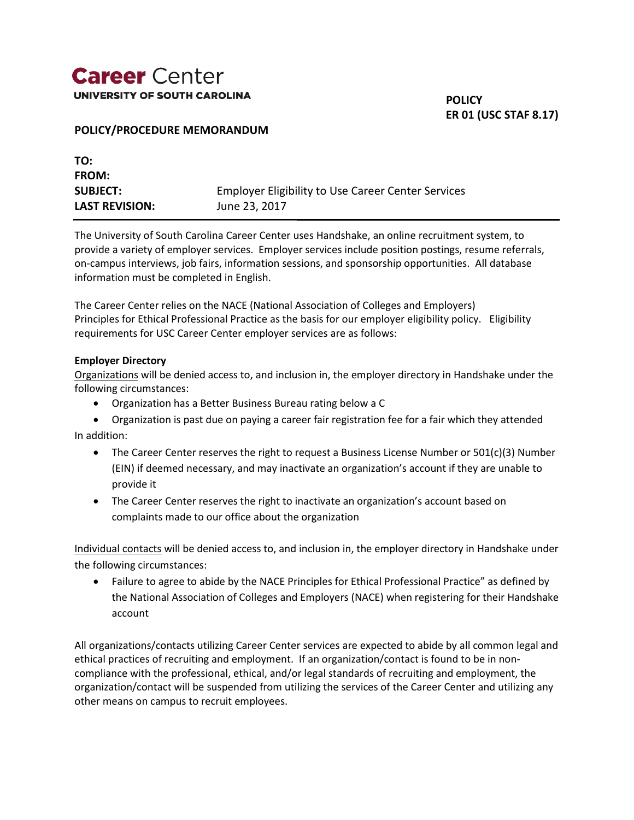## **Career** Center UNIVERSITY OF SOUTH CAROLINA

**POLICY ER 01 (USC STAF 8.17)**

#### **POLICY/PROCEDURE MEMORANDUM**

| TO:                   |                                                           |
|-----------------------|-----------------------------------------------------------|
| <b>FROM:</b>          |                                                           |
| <b>SUBJECT:</b>       | <b>Employer Eligibility to Use Career Center Services</b> |
| <b>LAST REVISION:</b> | June 23, 2017                                             |

The University of South Carolina Career Center uses Handshake, an online recruitment system, to provide a variety of employer services. Employer services include position postings, resume referrals, on-campus interviews, job fairs, information sessions, and sponsorship opportunities. All database information must be completed in English.

The Career Center relies on the NACE (National Association of Colleges and Employers) Principles for Ethical Professional Practice as the basis for our employer eligibility policy. Eligibility requirements for USC Career Center employer services are as follows:

#### **Employer Directory**

Organizations will be denied access to, and inclusion in, the employer directory in Handshake under the following circumstances:

Organization has a Better Business Bureau rating below a C

 Organization is past due on paying a career fair registration fee for a fair which they attended In addition:

- The Career Center reserves the right to request a Business License Number or  $501(c)(3)$  Number (EIN) if deemed necessary, and may inactivate an organization's account if they are unable to provide it
- The Career Center reserves the right to inactivate an organization's account based on complaints made to our office about the organization

Individual contacts will be denied access to, and inclusion in, the employer directory in Handshake under the following circumstances:

 Failure to agree to abide by the NACE Principles for Ethical Professional Practice" as defined by the National Association of Colleges and Employers (NACE) when registering for their Handshake account

All organizations/contacts utilizing Career Center services are expected to abide by all common legal and ethical practices of recruiting and employment. If an organization/contact is found to be in noncompliance with the professional, ethical, and/or legal standards of recruiting and employment, the organization/contact will be suspended from utilizing the services of the Career Center and utilizing any other means on campus to recruit employees.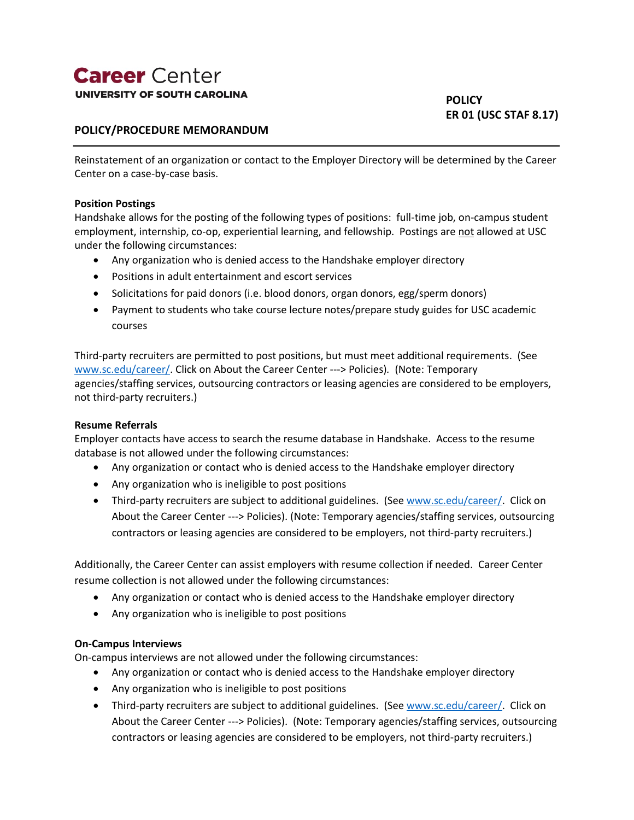### **Career** Center **UNIVERSITY OF SOUTH CAROLINA**

### **POLICY/PROCEDURE MEMORANDUM**

Reinstatement of an organization or contact to the Employer Directory will be determined by the Career Center on a case-by-case basis.

#### **Position Postings**

Handshake allows for the posting of the following types of positions: full-time job, on-campus student employment, internship, co-op, experiential learning, and fellowship. Postings are not allowed at USC under the following circumstances:

- Any organization who is denied access to the Handshake employer directory
- Positions in adult entertainment and escort services
- Solicitations for paid donors (i.e. blood donors, organ donors, egg/sperm donors)
- Payment to students who take course lecture notes/prepare study guides for USC academic courses

Third-party recruiters are permitted to post positions, but must meet additional requirements. (See [www.sc.edu/career/.](http://www.sc.edu/career/) Click on About the Career Center ---> Policies)*.* (Note: Temporary agencies/staffing services, outsourcing contractors or leasing agencies are considered to be employers, not third-party recruiters.)

#### **Resume Referrals**

Employer contacts have access to search the resume database in Handshake. Access to the resume database is not allowed under the following circumstances:

- Any organization or contact who is denied access to the Handshake employer directory
- Any organization who is ineligible to post positions
- Third-party recruiters are subject to additional guidelines. (Se[e www.sc.edu/career/.](http://www.sc.edu/career/) Click on About the Career Center ---> Policies). (Note: Temporary agencies/staffing services, outsourcing contractors or leasing agencies are considered to be employers, not third-party recruiters.)

Additionally, the Career Center can assist employers with resume collection if needed. Career Center resume collection is not allowed under the following circumstances:

- Any organization or contact who is denied access to the Handshake employer directory
- Any organization who is ineligible to post positions

#### **On-Campus Interviews**

On-campus interviews are not allowed under the following circumstances:

- Any organization or contact who is denied access to the Handshake employer directory
- Any organization who is ineligible to post positions
- Third-party recruiters are subject to additional guidelines. (Se[e www.sc.edu/career/.](http://www.sc.edu/career/) Click on About the Career Center ---> Policies). (Note: Temporary agencies/staffing services, outsourcing contractors or leasing agencies are considered to be employers, not third-party recruiters.)